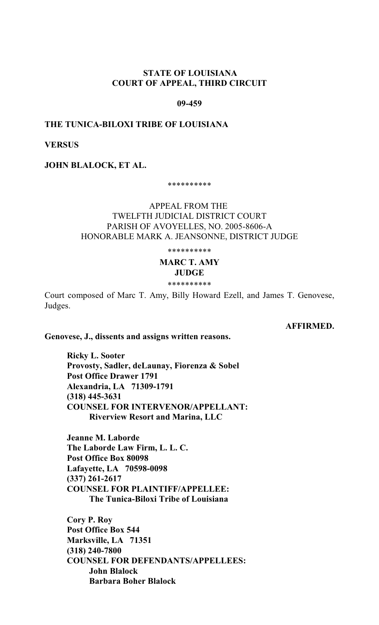# **STATE OF LOUISIANA COURT OF APPEAL, THIRD CIRCUIT**

### **09-459**

## **THE TUNICA-BILOXI TRIBE OF LOUISIANA**

## **VERSUS**

**JOHN BLALOCK, ET AL.** 

\*\*\*\*\*\*\*\*\*\*

# APPEAL FROM THE TWELFTH JUDICIAL DISTRICT COURT PARISH OF AVOYELLES, NO. 2005-8606-A HONORABLE MARK A. JEANSONNE, DISTRICT JUDGE

\*\*\*\*\*\*\*\*\*\*

### **MARC T. AMY JUDGE**

\*\*\*\*\*\*\*\*\*\*

Court composed of Marc T. Amy, Billy Howard Ezell, and James T. Genovese, Judges.

**AFFIRMED.**

**Genovese, J., dissents and assigns written reasons.**

**Ricky L. Sooter Provosty, Sadler, deLaunay, Fiorenza & Sobel Post Office Drawer 1791 Alexandria, LA 71309-1791 (318) 445-3631 COUNSEL FOR INTERVENOR/APPELLANT: Riverview Resort and Marina, LLC**

**Jeanne M. Laborde The Laborde Law Firm, L. L. C. Post Office Box 80098 Lafayette, LA 70598-0098 (337) 261-2617 COUNSEL FOR PLAINTIFF/APPELLEE: The Tunica-Biloxi Tribe of Louisiana**

**Cory P. Roy Post Office Box 544 Marksville, LA 71351 (318) 240-7800 COUNSEL FOR DEFENDANTS/APPELLEES: John Blalock Barbara Boher Blalock**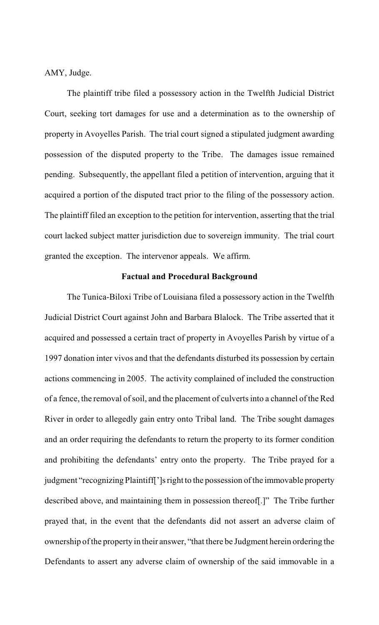AMY, Judge.

The plaintiff tribe filed a possessory action in the Twelfth Judicial District Court, seeking tort damages for use and a determination as to the ownership of property in Avoyelles Parish. The trial court signed a stipulated judgment awarding possession of the disputed property to the Tribe. The damages issue remained pending. Subsequently, the appellant filed a petition of intervention, arguing that it acquired a portion of the disputed tract prior to the filing of the possessory action. The plaintiff filed an exception to the petition for intervention, asserting that the trial court lacked subject matter jurisdiction due to sovereign immunity. The trial court granted the exception. The intervenor appeals. We affirm.

### **Factual and Procedural Background**

The Tunica-Biloxi Tribe of Louisiana filed a possessory action in the Twelfth Judicial District Court against John and Barbara Blalock. The Tribe asserted that it acquired and possessed a certain tract of property in Avoyelles Parish by virtue of a 1997 donation inter vivos and that the defendants disturbed its possession by certain actions commencing in 2005. The activity complained of included the construction of a fence, the removal of soil, and the placement of culverts into a channel of the Red River in order to allegedly gain entry onto Tribal land. The Tribe sought damages and an order requiring the defendants to return the property to its former condition and prohibiting the defendants' entry onto the property. The Tribe prayed for a judgment "recognizing Plaintiff[']s right to the possession of the immovable property described above, and maintaining them in possession thereof[.]" The Tribe further prayed that, in the event that the defendants did not assert an adverse claim of ownership of the property in their answer, "that there be Judgment herein ordering the Defendants to assert any adverse claim of ownership of the said immovable in a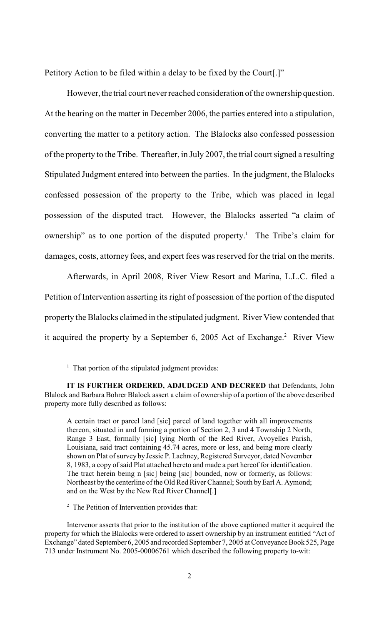Petitory Action to be filed within a delay to be fixed by the Court[.]"

However, the trial court never reached consideration of the ownership question. At the hearing on the matter in December 2006, the parties entered into a stipulation, converting the matter to a petitory action. The Blalocks also confessed possession of the property to the Tribe. Thereafter, in July 2007, the trial court signed a resulting Stipulated Judgment entered into between the parties. In the judgment, the Blalocks confessed possession of the property to the Tribe, which was placed in legal possession of the disputed tract. However, the Blalocks asserted "a claim of ownership" as to one portion of the disputed property.<sup>1</sup> The Tribe's claim for damages, costs, attorney fees, and expert fees was reserved for the trial on the merits.

Afterwards, in April 2008, River View Resort and Marina, L.L.C. filed a Petition of Intervention asserting its right of possession of the portion of the disputed property the Blalocks claimed in the stipulated judgment. River View contended that it acquired the property by a September 6, 2005 Act of Exchange.<sup>2</sup> River View

 $2$  The Petition of Intervention provides that:

 $<sup>1</sup>$  That portion of the stipulated judgment provides:</sup>

**IT IS FURTHER ORDERED, ADJUDGED AND DECREED** that Defendants, John Blalock and Barbara Bohrer Blalock assert a claim of ownership of a portion of the above described property more fully described as follows:

A certain tract or parcel land [sic] parcel of land together with all improvements thereon, situated in and forming a portion of Section 2, 3 and 4 Township 2 North, Range 3 East, formally [sic] lying North of the Red River, Avoyelles Parish, Louisiana, said tract containing 45.74 acres, more or less, and being more clearly shown on Plat of survey by Jessie P. Lachney, Registered Surveyor, dated November 8, 1983, a copy of said Plat attached hereto and made a part hereof for identification. The tract herein being n [sic] being [sic] bounded, now or formerly, as follows: Northeast by the centerline of the Old Red River Channel; South by Earl A. Aymond; and on the West by the New Red River Channel[.]

Intervenor asserts that prior to the institution of the above captioned matter it acquired the property for which the Blalocks were ordered to assert ownership by an instrument entitled "Act of Exchange" dated September 6, 2005 and recorded September 7, 2005 at Conveyance Book 525, Page 713 under Instrument No. 2005-00006761 which described the following property to-wit: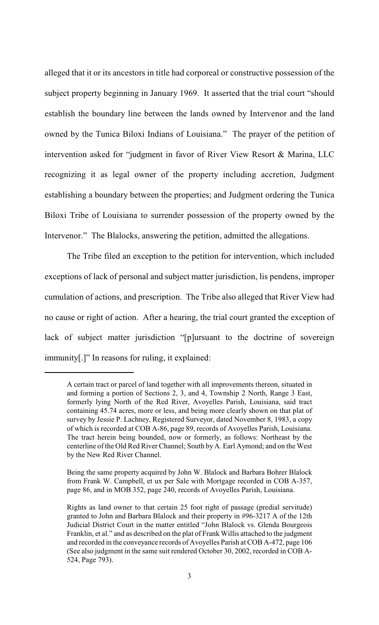alleged that it or its ancestors in title had corporeal or constructive possession of the subject property beginning in January 1969. It asserted that the trial court "should establish the boundary line between the lands owned by Intervenor and the land owned by the Tunica Biloxi Indians of Louisiana." The prayer of the petition of intervention asked for "judgment in favor of River View Resort & Marina, LLC recognizing it as legal owner of the property including accretion, Judgment establishing a boundary between the properties; and Judgment ordering the Tunica Biloxi Tribe of Louisiana to surrender possession of the property owned by the Intervenor." The Blalocks, answering the petition, admitted the allegations.

The Tribe filed an exception to the petition for intervention, which included exceptions of lack of personal and subject matter jurisdiction, lis pendens, improper cumulation of actions, and prescription. The Tribe also alleged that River View had no cause or right of action. After a hearing, the trial court granted the exception of lack of subject matter jurisdiction "[p]ursuant to the doctrine of sovereign immunity[.]" In reasons for ruling, it explained:

A certain tract or parcel of land together with all improvements thereon, situated in and forming a portion of Sections 2, 3, and 4, Township 2 North, Range 3 East, formerly lying North of the Red River, Avoyelles Parish, Louisiana, said tract containing 45.74 acres, more or less, and being more clearly shown on that plat of survey by Jessie P. Lachney, Registered Surveyor, dated November 8, 1983, a copy of which is recorded at COB A-86, page 89, records of Avoyelles Parish, Louisiana. The tract herein being bounded, now or formerly, as follows: Northeast by the centerline of the Old Red River Channel; South by A. Earl Aymond; and on the West by the New Red River Channel.

Being the same property acquired by John W. Blalock and Barbara Bohrer Blalock from Frank W. Campbell, et ux per Sale with Mortgage recorded in COB A-357, page 86, and in MOB 352, page 240, records of Avoyelles Parish, Louisiana.

Rights as land owner to that certain 25 foot right of passage (predial servitude) granted to John and Barbara Blalock and their property in #96-3217 A of the 12th Judicial District Court in the matter entitled "John Blalock vs. Glenda Bourgeois Franklin, et al." and as described on the plat of Frank Willis attached to the judgment and recorded in the conveyance records of Avoyelles Parish at COB A-472, page 106 (See also judgment in the same suit rendered October 30, 2002, recorded in COB A-524, Page 793).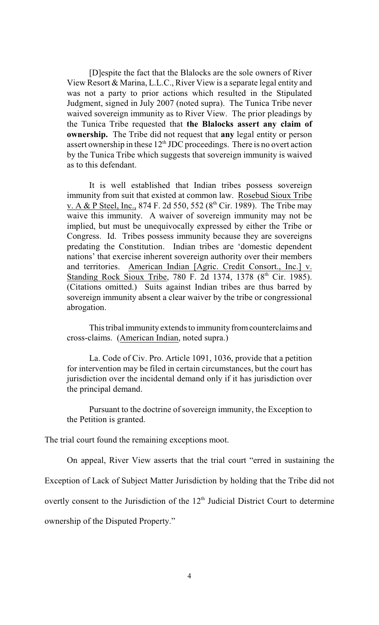[D]espite the fact that the Blalocks are the sole owners of River View Resort & Marina, L.L.C., River View is a separate legal entity and was not a party to prior actions which resulted in the Stipulated Judgment, signed in July 2007 (noted supra). The Tunica Tribe never waived sovereign immunity as to River View. The prior pleadings by the Tunica Tribe requested that **the Blalocks assert any claim of ownership.** The Tribe did not request that **any** legal entity or person assert ownership in these  $12<sup>th</sup> JDC$  proceedings. There is no overt action by the Tunica Tribe which suggests that sovereign immunity is waived as to this defendant.

It is well established that Indian tribes possess sovereign immunity from suit that existed at common law. Rosebud Sioux Tribe v. A & P Steel, Inc., 874 F. 2d 550, 552 ( $8^{th}$  Cir. 1989). The Tribe may waive this immunity. A waiver of sovereign immunity may not be implied, but must be unequivocally expressed by either the Tribe or Congress. Id. Tribes possess immunity because they are sovereigns predating the Constitution. Indian tribes are 'domestic dependent nations' that exercise inherent sovereign authority over their members and territories. American Indian [Agric. Credit Consort., Inc.] v. Standing Rock Sioux Tribe, 780 F. 2d 1374, 1378 (8<sup>th</sup> Cir. 1985). (Citations omitted.) Suits against Indian tribes are thus barred by sovereign immunity absent a clear waiver by the tribe or congressional abrogation.

This tribal immunity extends to immunity from counterclaims and cross-claims. (American Indian, noted supra.)

La. Code of Civ. Pro. Article 1091, 1036, provide that a petition for intervention may be filed in certain circumstances, but the court has jurisdiction over the incidental demand only if it has jurisdiction over the principal demand.

Pursuant to the doctrine of sovereign immunity, the Exception to the Petition is granted.

The trial court found the remaining exceptions moot.

On appeal, River View asserts that the trial court "erred in sustaining the

Exception of Lack of Subject Matter Jurisdiction by holding that the Tribe did not

overtly consent to the Jurisdiction of the 12<sup>th</sup> Judicial District Court to determine

ownership of the Disputed Property."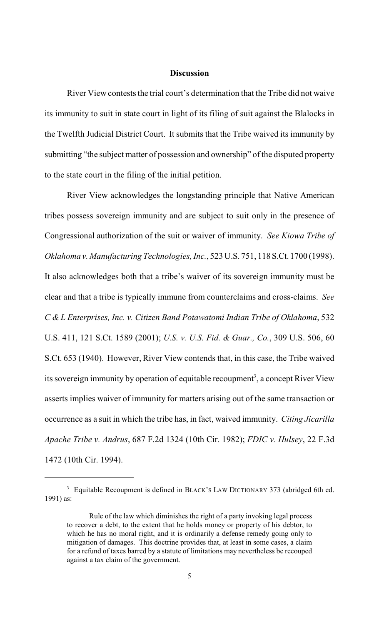### **Discussion**

River View contests the trial court's determination that the Tribe did not waive its immunity to suit in state court in light of its filing of suit against the Blalocks in the Twelfth Judicial District Court. It submits that the Tribe waived its immunity by submitting "the subject matter of possession and ownership" of the disputed property to the state court in the filing of the initial petition.

River View acknowledges the longstanding principle that Native American tribes possess sovereign immunity and are subject to suit only in the presence of Congressional authorization of the suit or waiver of immunity. *See Kiowa Tribe of Oklahoma v. Manufacturing Technologies, Inc.*, 523 U.S. 751, 118 S.Ct. 1700 (1998). It also acknowledges both that a tribe's waiver of its sovereign immunity must be clear and that a tribe is typically immune from counterclaims and cross-claims. *See C & L Enterprises, Inc. v. Citizen Band Potawatomi Indian Tribe of Oklahoma*, 532 U.S. 411, 121 S.Ct. 1589 (2001); *U.S. v. U.S. Fid. & Guar., Co.*, 309 U.S. 506, 60 S.Ct. 653 (1940). However, River View contends that, in this case, the Tribe waived its sovereign immunity by operation of equitable recoupment<sup>3</sup>, a concept River View asserts implies waiver of immunity for matters arising out of the same transaction or occurrence as a suit in which the tribe has, in fact, waived immunity. *Citing Jicarilla Apache Tribe v. Andrus*, 687 F.2d 1324 (10th Cir. 1982); *FDIC v. Hulsey*, 22 F.3d 1472 (10th Cir. 1994).

<sup>&</sup>lt;sup>3</sup> Equitable Recoupment is defined in BLACK's LAW DICTIONARY 373 (abridged 6th ed. 1991) as:

Rule of the law which diminishes the right of a party invoking legal process to recover a debt, to the extent that he holds money or property of his debtor, to which he has no moral right, and it is ordinarily a defense remedy going only to mitigation of damages. This doctrine provides that, at least in some cases, a claim for a refund of taxes barred by a statute of limitations may nevertheless be recouped against a tax claim of the government.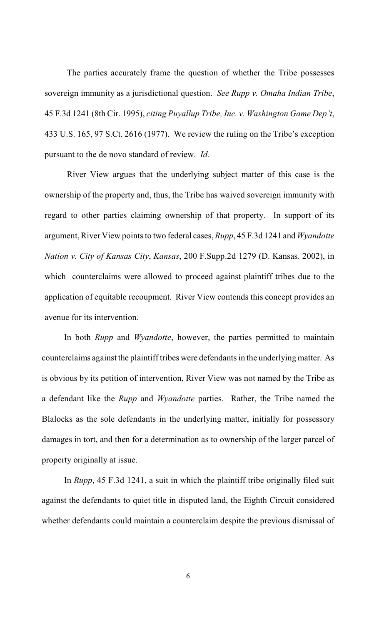The parties accurately frame the question of whether the Tribe possesses sovereign immunity as a jurisdictional question. *See Rupp v. Omaha Indian Tribe*, 45 F.3d 1241 (8th Cir. 1995), *citing Puyallup Tribe, Inc. v. Washington Game Dep't*, 433 U.S. 165, 97 S.Ct. 2616 (1977). We review the ruling on the Tribe's exception pursuant to the de novo standard of review. *Id.*

River View argues that the underlying subject matter of this case is the ownership of the property and, thus, the Tribe has waived sovereign immunity with regard to other parties claiming ownership of that property. In support of its argument, River View points to two federal cases, *Rupp*, 45 F.3d 1241 and *Wyandotte Nation v. City of Kansas City*, *Kansas*, 200 F.Supp.2d 1279 (D. Kansas. 2002), in which counterclaims were allowed to proceed against plaintiff tribes due to the application of equitable recoupment. River View contends this concept provides an avenue for its intervention.

In both *Rupp* and *Wyandotte*, however, the parties permitted to maintain counterclaims against the plaintiff tribes were defendants in the underlying matter. As is obvious by its petition of intervention, River View was not named by the Tribe as a defendant like the *Rupp* and *Wyandotte* parties. Rather, the Tribe named the Blalocks as the sole defendants in the underlying matter, initially for possessory damages in tort, and then for a determination as to ownership of the larger parcel of property originally at issue.

In *Rupp*, 45 F.3d 1241, a suit in which the plaintiff tribe originally filed suit against the defendants to quiet title in disputed land, the Eighth Circuit considered whether defendants could maintain a counterclaim despite the previous dismissal of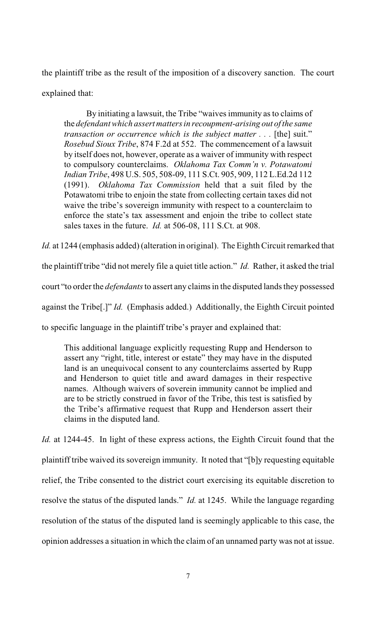the plaintiff tribe as the result of the imposition of a discovery sanction. The court explained that:

By initiating a lawsuit, the Tribe "waives immunity as to claims of the *defendant which assert matters in recoupment-arising out of the same transaction or occurrence which is the subject matter . . .* [the] suit." *Rosebud Sioux Tribe*, 874 F.2d at 552. The commencement of a lawsuit by itself does not, however, operate as a waiver of immunity with respect to compulsory counterclaims. *Oklahoma Tax Comm'n v. Potawatomi Indian Tribe*, 498 U.S. 505, 508-09, 111 S.Ct. 905, 909, 112 L.Ed.2d 112 (1991). *Oklahoma Tax Commission* held that a suit filed by the Potawatomi tribe to enjoin the state from collecting certain taxes did not waive the tribe's sovereign immunity with respect to a counterclaim to enforce the state's tax assessment and enjoin the tribe to collect state sales taxes in the future. *Id.* at 506-08, 111 S.Ct. at 908.

*Id.* at 1244 (emphasis added) (alteration in original). The Eighth Circuit remarked that

the plaintiff tribe "did not merely file a quiet title action." *Id.* Rather, it asked the trial

court "to order the *defendants* to assert any claims in the disputed lands they possessed

against the Tribe[.]" *Id.* (Emphasis added.) Additionally, the Eighth Circuit pointed

to specific language in the plaintiff tribe's prayer and explained that:

This additional language explicitly requesting Rupp and Henderson to assert any "right, title, interest or estate" they may have in the disputed land is an unequivocal consent to any counterclaims asserted by Rupp and Henderson to quiet title and award damages in their respective names. Although waivers of soverein immunity cannot be implied and are to be strictly construed in favor of the Tribe, this test is satisfied by the Tribe's affirmative request that Rupp and Henderson assert their claims in the disputed land.

*Id.* at 1244-45. In light of these express actions, the Eighth Circuit found that the plaintiff tribe waived its sovereign immunity. It noted that "[b]y requesting equitable relief, the Tribe consented to the district court exercising its equitable discretion to resolve the status of the disputed lands." *Id.* at 1245. While the language regarding resolution of the status of the disputed land is seemingly applicable to this case, the opinion addresses a situation in which the claim of an unnamed party was not at issue.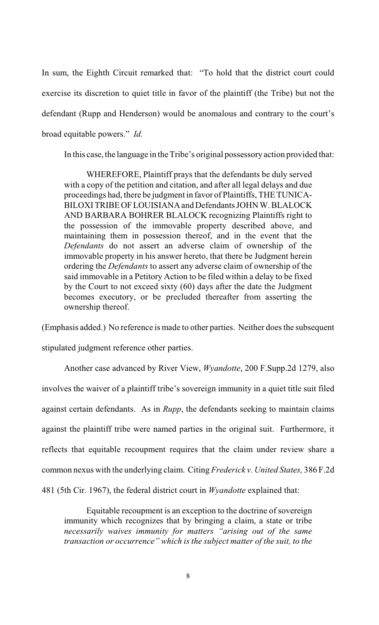In sum, the Eighth Circuit remarked that: "To hold that the district court could exercise its discretion to quiet title in favor of the plaintiff (the Tribe) but not the defendant (Rupp and Henderson) would be anomalous and contrary to the court's broad equitable powers." *Id.* 

In this case, the language in the Tribe's original possessory action provided that:

WHEREFORE, Plaintiff prays that the defendants be duly served with a copy of the petition and citation, and after all legal delays and due proceedings had, there be judgment in favor of Plaintiffs, THE TUNICA-BILOXI TRIBE OF LOUISIANA and Defendants JOHN W. BLALOCK AND BARBARA BOHRER BLALOCK recognizing Plaintiffs right to the possession of the immovable property described above, and maintaining them in possession thereof, and in the event that the *Defendants* do not assert an adverse claim of ownership of the immovable property in his answer hereto, that there be Judgment herein ordering the *Defendants* to assert any adverse claim of ownership of the said immovable in a Petitory Action to be filed within a delay to be fixed by the Court to not exceed sixty (60) days after the date the Judgment becomes executory, or be precluded thereafter from asserting the ownership thereof.

(Emphasis added.) No reference is made to other parties. Neither does the subsequent

stipulated judgment reference other parties.

Another case advanced by River View, *Wyandotte*, 200 F.Supp.2d 1279, also involves the waiver of a plaintiff tribe's sovereign immunity in a quiet title suit filed against certain defendants. As in *Rupp*, the defendants seeking to maintain claims against the plaintiff tribe were named parties in the original suit. Furthermore, it reflects that equitable recoupment requires that the claim under review share a common nexus with the underlying claim. Citing *Frederick v. United States,* 386 F.2d 481 (5th Cir. 1967), the federal district court in *Wyandotte* explained that:

Equitable recoupment is an exception to the doctrine of sovereign immunity which recognizes that by bringing a claim, a state or tribe *necessarily waives immunity for matters "arising out of the same transaction or occurrence" which is the subject matter of the suit, to the*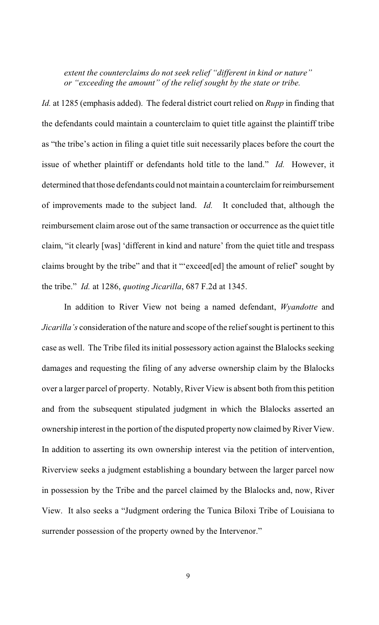*extent the counterclaims do not seek relief "different in kind or nature" or "exceeding the amount" of the relief sought by the state or tribe.*

*Id.* at 1285 (emphasis added). The federal district court relied on *Rupp* in finding that the defendants could maintain a counterclaim to quiet title against the plaintiff tribe as "the tribe's action in filing a quiet title suit necessarily places before the court the issue of whether plaintiff or defendants hold title to the land." *Id.* However, it determined that those defendants could not maintain a counterclaim for reimbursement of improvements made to the subject land. *Id.* It concluded that, although the reimbursement claim arose out of the same transaction or occurrence as the quiet title claim, "it clearly [was] 'different in kind and nature' from the quiet title and trespass claims brought by the tribe" and that it "'exceed[ed] the amount of relief' sought by the tribe." *Id.* at 1286, *quoting Jicarilla*, 687 F.2d at 1345.

In addition to River View not being a named defendant, *Wyandotte* and *Jicarilla's* consideration of the nature and scope of the relief sought is pertinent to this case as well. The Tribe filed its initial possessory action against the Blalocks seeking damages and requesting the filing of any adverse ownership claim by the Blalocks over a larger parcel of property. Notably, River View is absent both from this petition and from the subsequent stipulated judgment in which the Blalocks asserted an ownership interest in the portion of the disputed property now claimed by River View. In addition to asserting its own ownership interest via the petition of intervention, Riverview seeks a judgment establishing a boundary between the larger parcel now in possession by the Tribe and the parcel claimed by the Blalocks and, now, River View. It also seeks a "Judgment ordering the Tunica Biloxi Tribe of Louisiana to surrender possession of the property owned by the Intervenor."